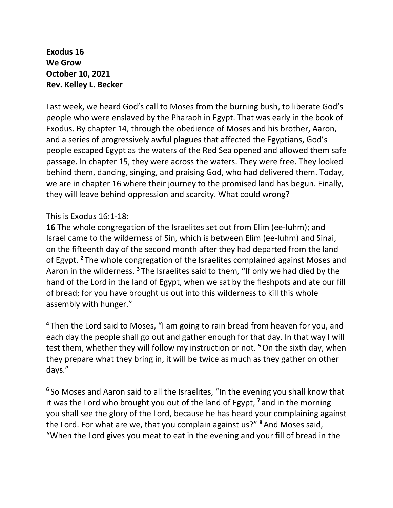**Exodus 16 We Grow October 10, 2021 Rev. Kelley L. Becker**

Last week, we heard God's call to Moses from the burning bush, to liberate God's people who were enslaved by the Pharaoh in Egypt. That was early in the book of Exodus. By chapter 14, through the obedience of Moses and his brother, Aaron, and a series of progressively awful plagues that affected the Egyptians, God's people escaped Egypt as the waters of the Red Sea opened and allowed them safe passage. In chapter 15, they were across the waters. They were free. They looked behind them, dancing, singing, and praising God, who had delivered them. Today, we are in chapter 16 where their journey to the promised land has begun. Finally, they will leave behind oppression and scarcity. What could wrong?

## This is Exodus 16:1-18:

**16** The whole congregation of the Israelites set out from Elim (ee-luhm); and Israel came to the wilderness of Sin, which is between Elim (ee-luhm) and Sinai, on the fifteenth day of the second month after they had departed from the land of Egypt. **<sup>2</sup>** The whole congregation of the Israelites complained against Moses and Aaron in the wilderness. **<sup>3</sup>** The Israelites said to them, "If only we had died by the hand of the Lord in the land of Egypt, when we sat by the fleshpots and ate our fill of bread; for you have brought us out into this wilderness to kill this whole assembly with hunger."

**<sup>4</sup>** Then the Lord said to Moses, "I am going to rain bread from heaven for you, and each day the people shall go out and gather enough for that day. In that way I will test them, whether they will follow my instruction or not. **<sup>5</sup>**On the sixth day, when they prepare what they bring in, it will be twice as much as they gather on other days."

**6** So Moses and Aaron said to all the Israelites, "In the evening you shall know that it was the Lord who brought you out of the land of Egypt, **<sup>7</sup>** and in the morning you shall see the glory of the Lord, because he has heard your complaining against the Lord. For what are we, that you complain against us?" **<sup>8</sup>** And Moses said, "When the Lord gives you meat to eat in the evening and your fill of bread in the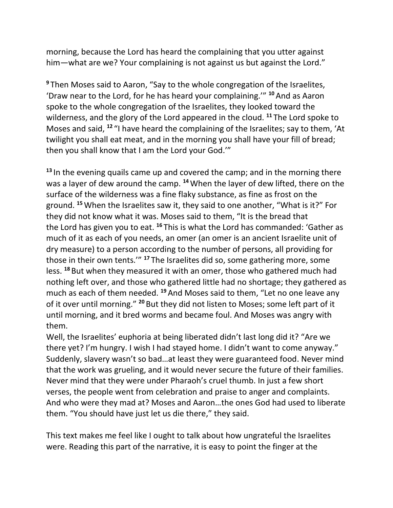morning, because the Lord has heard the complaining that you utter against him—what are we? Your complaining is not against us but against the Lord."

**<sup>9</sup>** Then Moses said to Aaron, "Say to the whole congregation of the Israelites, 'Draw near to the Lord, for he has heard your complaining.'" **<sup>10</sup>** And as Aaron spoke to the whole congregation of the Israelites, they looked toward the wilderness, and the glory of the Lord appeared in the cloud. **<sup>11</sup>** The Lord spoke to Moses and said, **<sup>12</sup>** "I have heard the complaining of the Israelites; say to them, 'At twilight you shall eat meat, and in the morning you shall have your fill of bread; then you shall know that I am the Lord your God.'"

**<sup>13</sup>** In the evening quails came up and covered the camp; and in the morning there was a layer of dew around the camp. **<sup>14</sup>**When the layer of dew lifted, there on the surface of the wilderness was a fine flaky substance, as fine as frost on the ground. **<sup>15</sup>**When the Israelites saw it, they said to one another, "What is it?" For they did not know what it was. Moses said to them, "It is the bread that the Lord has given you to eat. **<sup>16</sup>** This is what the Lord has commanded: 'Gather as much of it as each of you needs, an omer (an omer is an ancient Israelite unit of dry measure) to a person according to the number of persons, all providing for those in their own tents.'" **<sup>17</sup>** The Israelites did so, some gathering more, some less. **<sup>18</sup>** But when they measured it with an omer, those who gathered much had nothing left over, and those who gathered little had no shortage; they gathered as much as each of them needed. **<sup>19</sup>** And Moses said to them, "Let no one leave any of it over until morning." **<sup>20</sup>** But they did not listen to Moses; some left part of it until morning, and it bred worms and became foul. And Moses was angry with them.

Well, the Israelites' euphoria at being liberated didn't last long did it? "Are we there yet? I'm hungry. I wish I had stayed home. I didn't want to come anyway." Suddenly, slavery wasn't so bad…at least they were guaranteed food. Never mind that the work was grueling, and it would never secure the future of their families. Never mind that they were under Pharaoh's cruel thumb. In just a few short verses, the people went from celebration and praise to anger and complaints. And who were they mad at? Moses and Aaron…the ones God had used to liberate them. "You should have just let us die there," they said.

This text makes me feel like I ought to talk about how ungrateful the Israelites were. Reading this part of the narrative, it is easy to point the finger at the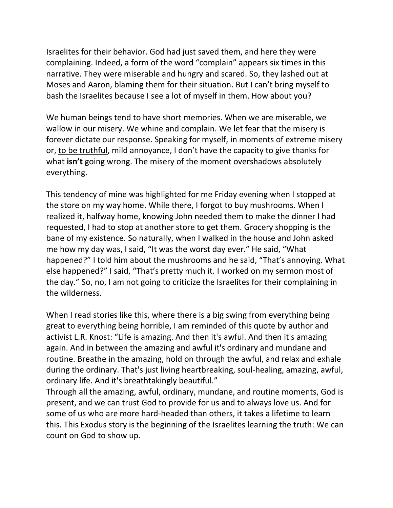Israelites for their behavior. God had just saved them, and here they were complaining. Indeed, a form of the word "complain" appears six times in this narrative. They were miserable and hungry and scared. So, they lashed out at Moses and Aaron, blaming them for their situation. But I can't bring myself to bash the Israelites because I see a lot of myself in them. How about you?

We human beings tend to have short memories. When we are miserable, we wallow in our misery. We whine and complain. We let fear that the misery is forever dictate our response. Speaking for myself, in moments of extreme misery or, to be truthful, mild annoyance, I don't have the capacity to give thanks for what **isn't** going wrong. The misery of the moment overshadows absolutely everything.

This tendency of mine was highlighted for me Friday evening when I stopped at the store on my way home. While there, I forgot to buy mushrooms. When I realized it, halfway home, knowing John needed them to make the dinner I had requested, I had to stop at another store to get them. Grocery shopping is the bane of my existence. So naturally, when I walked in the house and John asked me how my day was, I said, "It was the worst day ever." He said, "What happened?" I told him about the mushrooms and he said, "That's annoying. What else happened?" I said, "That's pretty much it. I worked on my sermon most of the day." So, no, I am not going to criticize the Israelites for their complaining in the wilderness.

When I read stories like this, where there is a big swing from everything being great to everything being horrible, I am reminded of this quote by author and activist L.R. Knost: "Life is amazing. And then it's awful. And then it's amazing again. And in between the amazing and awful it's ordinary and mundane and routine. Breathe in the amazing, hold on through the awful, and relax and exhale during the ordinary. That's just living heartbreaking, soul-healing, amazing, awful, ordinary life. And it's breathtakingly beautiful."

Through all the amazing, awful, ordinary, mundane, and routine moments, God is present, and we can trust God to provide for us and to always love us. And for some of us who are more hard-headed than others, it takes a lifetime to learn this. This Exodus story is the beginning of the Israelites learning the truth: We can count on God to show up.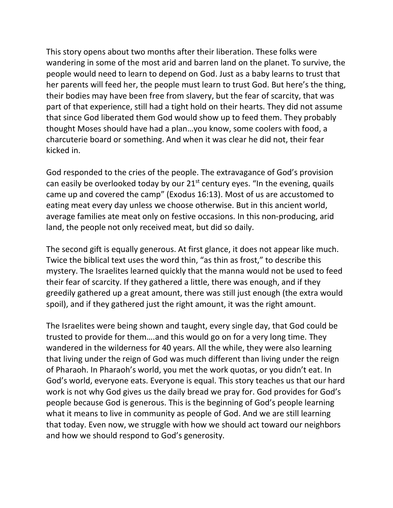This story opens about two months after their liberation. These folks were wandering in some of the most arid and barren land on the planet. To survive, the people would need to learn to depend on God. Just as a baby learns to trust that her parents will feed her, the people must learn to trust God. But here's the thing, their bodies may have been free from slavery, but the fear of scarcity, that was part of that experience, still had a tight hold on their hearts. They did not assume that since God liberated them God would show up to feed them. They probably thought Moses should have had a plan…you know, some coolers with food, a charcuterie board or something. And when it was clear he did not, their fear kicked in.

God responded to the cries of the people. The extravagance of God's provision can easily be overlooked today by our  $21<sup>st</sup>$  century eyes. "In the evening, quails came up and covered the camp" (Exodus 16:13). Most of us are accustomed to eating meat every day unless we choose otherwise. But in this ancient world, average families ate meat only on festive occasions. In this non-producing, arid land, the people not only received meat, but did so daily.

The second gift is equally generous. At first glance, it does not appear like much. Twice the biblical text uses the word thin, "as thin as frost," to describe this mystery. The Israelites learned quickly that the manna would not be used to feed their fear of scarcity. If they gathered a little, there was enough, and if they greedily gathered up a great amount, there was still just enough (the extra would spoil), and if they gathered just the right amount, it was the right amount.

The Israelites were being shown and taught, every single day, that God could be trusted to provide for them….and this would go on for a very long time. They wandered in the wilderness for 40 years. All the while, they were also learning that living under the reign of God was much different than living under the reign of Pharaoh. In Pharaoh's world, you met the work quotas, or you didn't eat. In God's world, everyone eats. Everyone is equal. This story teaches us that our hard work is not why God gives us the daily bread we pray for. God provides for God's people because God is generous. This is the beginning of God's people learning what it means to live in community as people of God. And we are still learning that today. Even now, we struggle with how we should act toward our neighbors and how we should respond to God's generosity.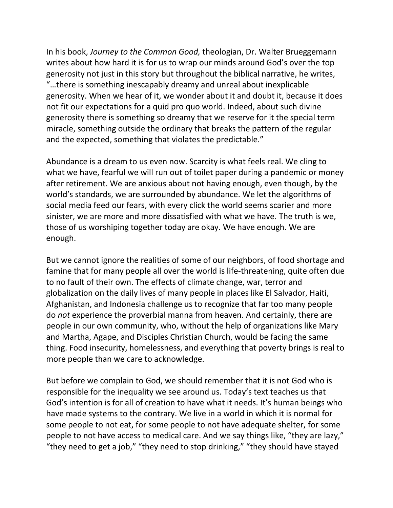In his book, *Journey to the Common Good,* theologian, Dr. Walter Brueggemann writes about how hard it is for us to wrap our minds around God's over the top generosity not just in this story but throughout the biblical narrative, he writes, "…there is something inescapably dreamy and unreal about inexplicable generosity. When we hear of it, we wonder about it and doubt it, because it does not fit our expectations for a quid pro quo world. Indeed, about such divine generosity there is something so dreamy that we reserve for it the special term miracle, something outside the ordinary that breaks the pattern of the regular and the expected, something that violates the predictable."

Abundance is a dream to us even now. Scarcity is what feels real. We cling to what we have, fearful we will run out of toilet paper during a pandemic or money after retirement. We are anxious about not having enough, even though, by the world's standards, we are surrounded by abundance. We let the algorithms of social media feed our fears, with every click the world seems scarier and more sinister, we are more and more dissatisfied with what we have. The truth is we, those of us worshiping together today are okay. We have enough. We are enough.

But we cannot ignore the realities of some of our neighbors, of food shortage and famine that for many people all over the world is life-threatening, quite often due to no fault of their own. The effects of climate change, war, terror and globalization on the daily lives of many people in places like El Salvador, Haiti, Afghanistan, and Indonesia challenge us to recognize that far too many people do *not* experience the proverbial manna from heaven. And certainly, there are people in our own community, who, without the help of organizations like Mary and Martha, Agape, and Disciples Christian Church, would be facing the same thing. Food insecurity, homelessness, and everything that poverty brings is real to more people than we care to acknowledge.

But before we complain to God, we should remember that it is not God who is responsible for the inequality we see around us. Today's text teaches us that God's intention is for all of creation to have what it needs. It's human beings who have made systems to the contrary. We live in a world in which it is normal for some people to not eat, for some people to not have adequate shelter, for some people to not have access to medical care. And we say things like, "they are lazy," "they need to get a job," "they need to stop drinking," "they should have stayed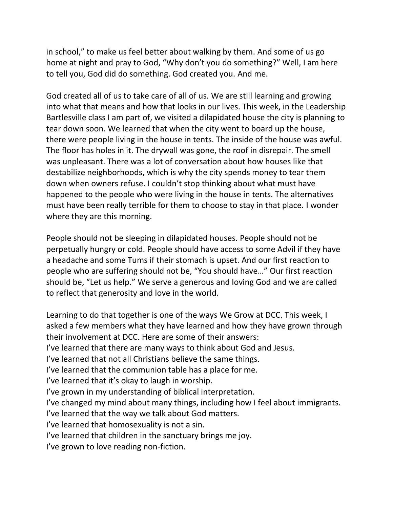in school," to make us feel better about walking by them. And some of us go home at night and pray to God, "Why don't you do something?" Well, I am here to tell you, God did do something. God created you. And me.

God created all of us to take care of all of us. We are still learning and growing into what that means and how that looks in our lives. This week, in the Leadership Bartlesville class I am part of, we visited a dilapidated house the city is planning to tear down soon. We learned that when the city went to board up the house, there were people living in the house in tents. The inside of the house was awful. The floor has holes in it. The drywall was gone, the roof in disrepair. The smell was unpleasant. There was a lot of conversation about how houses like that destabilize neighborhoods, which is why the city spends money to tear them down when owners refuse. I couldn't stop thinking about what must have happened to the people who were living in the house in tents. The alternatives must have been really terrible for them to choose to stay in that place. I wonder where they are this morning.

People should not be sleeping in dilapidated houses. People should not be perpetually hungry or cold. People should have access to some Advil if they have a headache and some Tums if their stomach is upset. And our first reaction to people who are suffering should not be, "You should have…" Our first reaction should be, "Let us help." We serve a generous and loving God and we are called to reflect that generosity and love in the world.

Learning to do that together is one of the ways We Grow at DCC. This week, I asked a few members what they have learned and how they have grown through their involvement at DCC. Here are some of their answers: I've learned that there are many ways to think about God and Jesus. I've learned that not all Christians believe the same things. I've learned that the communion table has a place for me. I've learned that it's okay to laugh in worship. I've grown in my understanding of biblical interpretation. I've changed my mind about many things, including how I feel about immigrants. I've learned that the way we talk about God matters. I've learned that homosexuality is not a sin. I've learned that children in the sanctuary brings me joy. I've grown to love reading non-fiction.